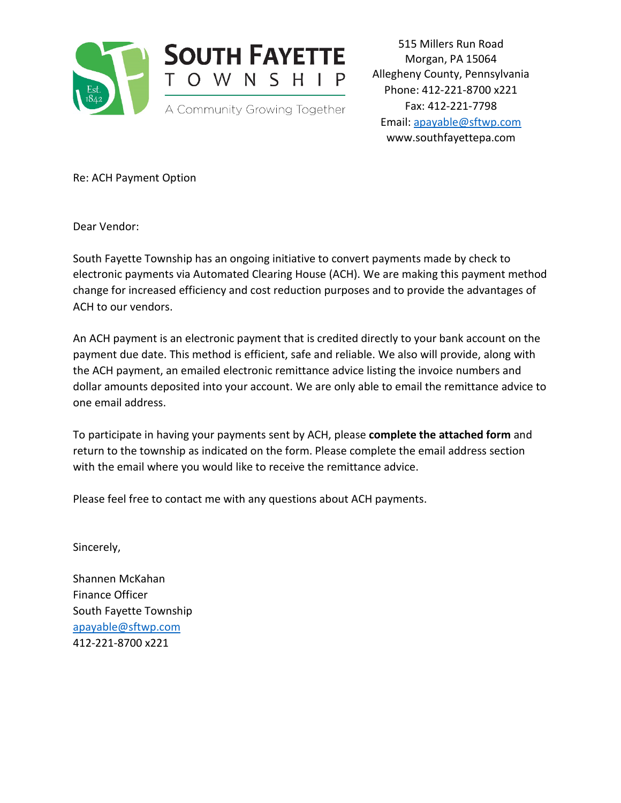

515 Millers Run Road Morgan, PA 15064 Allegheny County, Pennsylvania Phone: 412-221-8700 x221 Fax: 412-221-7798 Email: [apayable@sftwp.com](mailto:apayable@sftwp.com) www.southfayettepa.com

Re: ACH Payment Option

Dear Vendor:

South Fayette Township has an ongoing initiative to convert payments made by check to electronic payments via Automated Clearing House (ACH). We are making this payment method change for increased efficiency and cost reduction purposes and to provide the advantages of ACH to our vendors.

An ACH payment is an electronic payment that is credited directly to your bank account on the payment due date. This method is efficient, safe and reliable. We also will provide, along with the ACH payment, an emailed electronic remittance advice listing the invoice numbers and dollar amounts deposited into your account. We are only able to email the remittance advice to one email address.

To participate in having your payments sent by ACH, please **complete the attached form** and return to the township as indicated on the form. Please complete the email address section with the email where you would like to receive the remittance advice.

Please feel free to contact me with any questions about ACH payments.

Sincerely,

Shannen McKahan Finance Officer South Fayette Township [apayable@sftwp.com](mailto:apayable@sftwp.com) 412-221-8700 x221